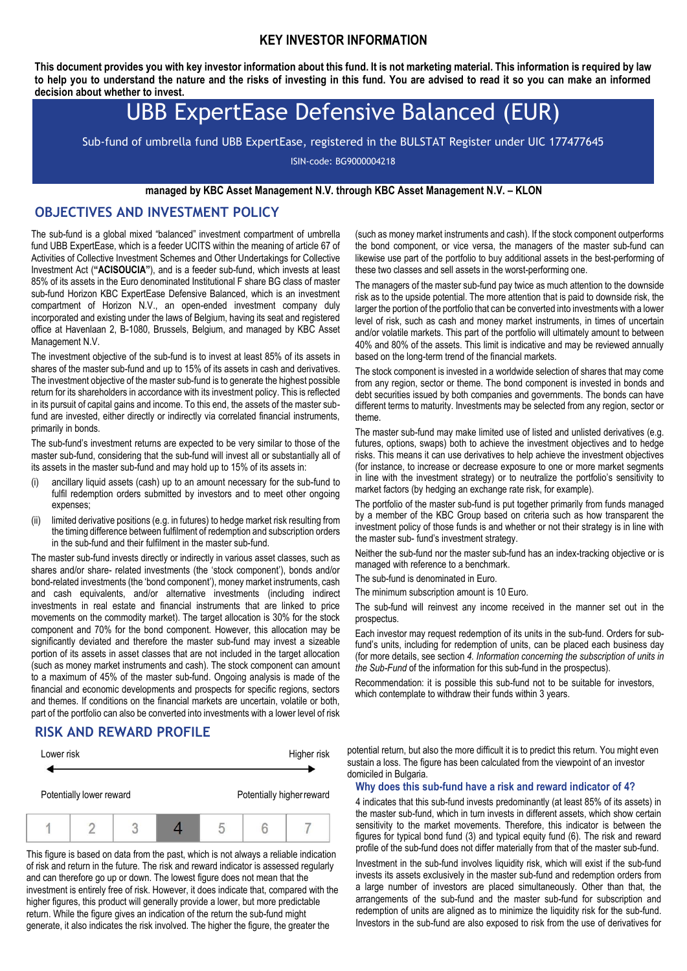# **KEY INVESTOR INFORMATION**

**This document provides you with key investor information about this fund. It is not marketing material. This information is required by law to help you to understand the nature and the risks of investing in this fund. You are advised to read it so you can make an informed decision about whether to invest.**

# UBB ExpertEase Defensive Balanced (EUR)

Sub-fund of umbrella fund UBB ExpertEase, registered in the BULSTAT Register under UIC 177477645

ISIN-code: BG9000004218

## **managed by KBC Asset Management N.V. through KBC Asset Management N.V. – KLON**

# **OBJECTIVES AND INVESTMENT POLICY**

The sub-fund is a global mixed "balanced" investment compartment of umbrella fund UBB ExpertEase, which is a feeder UCITS within the meaning of article 67 of Activities of Collective Investment Schemes and Other Undertakings for Collective Investment Act (**"ACISOUCIA"**), and is a feeder sub-fund, which invests at least 85% of its assets in the Euro denominated Institutional F share BG class of master sub-fund Horizon KBC ExpertEase Defensive Balanced, which is an investment compartment of Horizon N.V., an open-ended investment company duly incorporated and existing under the laws of Belgium, having its seat and registered office at Havenlaan 2, B-1080, Brussels, Belgium, and managed by KBC Asset Management N.V.

The investment objective of the sub-fund is to invest at least 85% of its assets in shares of the master sub-fund and up to 15% of its assets in cash and derivatives. The investment objective of the master sub-fund is to generate the highest possible return for its shareholders in accordance with its investment policy. This is reflected in its pursuit of capital gains and income. To this end, the assets of the master subfund are invested, either directly or indirectly via correlated financial instruments, primarily in bonds.

The sub-fund's investment returns are expected to be very similar to those of the master sub-fund, considering that the sub-fund will invest all or substantially all of its assets in the master sub-fund and may hold up to 15% of its assets in:

- (i) ancillary liquid assets (cash) up to an amount necessary for the sub-fund to fulfil redemption orders submitted by investors and to meet other ongoing expenses;
- (ii) limited derivative positions (e.g. in futures) to hedge market risk resulting from the timing difference between fulfilment of redemption and subscription orders in the sub-fund and their fulfilment in the master sub-fund.

The master sub-fund invests directly or indirectly in various asset classes, such as shares and/or share- related investments (the 'stock component'), bonds and/or bond-related investments (the 'bond component'), money market instruments, cash and cash equivalents, and/or alternative investments (including indirect investments in real estate and financial instruments that are linked to price movements on the commodity market). The target allocation is 30% for the stock component and 70% for the bond component. However, this allocation may be significantly deviated and therefore the master sub-fund may invest a sizeable portion of its assets in asset classes that are not included in the target allocation (such as money market instruments and cash). The stock component can amount to a maximum of 45% of the master sub-fund. Ongoing analysis is made of the financial and economic developments and prospects for specific regions, sectors and themes. If conditions on the financial markets are uncertain, volatile or both, part of the portfolio can also be converted into investments with a lower level of risk

## **RISK AND REWARD PROFILE**



This figure is based on data from the past, which is not always a reliable indication of risk and return in the future. The risk and reward indicator is assessed regularly and can therefore go up or down. The lowest figure does not mean that the investment is entirely free of risk. However, it does indicate that, compared with the higher figures, this product will generally provide a lower, but more predictable return. While the figure gives an indication of the return the sub-fund might generate, it also indicates the risk involved. The higher the figure, the greater the

(such as money market instruments and cash). If the stock component outperforms the bond component, or vice versa, the managers of the master sub-fund can likewise use part of the portfolio to buy additional assets in the best-performing of these two classes and sell assets in the worst-performing one.

The managers of the master sub-fund pay twice as much attention to the downside risk as to the upside potential. The more attention that is paid to downside risk, the larger the portion of the portfolio that can be converted into investments with a lower level of risk, such as cash and money market instruments, in times of uncertain and/or volatile markets. This part of the portfolio will ultimately amount to between 40% and 80% of the assets. This limit is indicative and may be reviewed annually based on the long-term trend of the financial markets.

The stock component is invested in a worldwide selection of shares that may come from any region, sector or theme. The bond component is invested in bonds and debt securities issued by both companies and governments. The bonds can have different terms to maturity. Investments may be selected from any region, sector or theme.

The master sub-fund may make limited use of listed and unlisted derivatives (e.g. futures, options, swaps) both to achieve the investment objectives and to hedge risks. This means it can use derivatives to help achieve the investment objectives (for instance, to increase or decrease exposure to one or more market segments in line with the investment strategy) or to neutralize the portfolio's sensitivity to market factors (by hedging an exchange rate risk, for example).

The portfolio of the master sub-fund is put together primarily from funds managed by a member of the KBC Group based on criteria such as how transparent the investment policy of those funds is and whether or not their strategy is in line with the master sub- fund's investment strategy.

Neither the sub-fund nor the master sub-fund has an index-tracking objective or is managed with reference to a benchmark.

The sub-fund is denominated in Euro.

The minimum subscription amount is 10 Еuro.

The sub-fund will reinvest any income received in the manner set out in the prospectus.

Each investor may request redemption of its units in the sub-fund. Orders for subfund's units, including for redemption of units, can be placed each business day (for more details, see section *4. Information concerning the subscription of units in the Sub-Fund* of the information for this sub-fund in the prospectus).

Recommendation: it is possible this sub-fund not to be suitable for investors, which contemplate to withdraw their funds within 3 years.

potential return, but also the more difficult it is to predict this return. You might even sustain a loss. The figure has been calculated from the viewpoint of an investor domiciled in Bulgaria.

#### **Why does this sub-fund have a risk and reward indicator of 4?**

4 indicates that this sub-fund invests predominantly (at least 85% of its assets) in the master sub-fund, which in turn invests in different assets, which show certain sensitivity to the market movements. Therefore, this indicator is between the figures for typical bond fund (3) and typical equity fund (6). The risk and reward profile of the sub-fund does not differ materially from that of the master sub-fund.

Investment in the sub-fund involves liquidity risk, which will exist if the sub-fund invests its assets exclusively in the master sub-fund and redemption orders from a large number of investors are placed simultaneously. Other than that, the arrangements of the sub-fund and the master sub-fund for subscription and redemption of units are aligned as to minimize the liquidity risk for the sub-fund. Investors in the sub-fund are also exposed to risk from the use of derivatives for